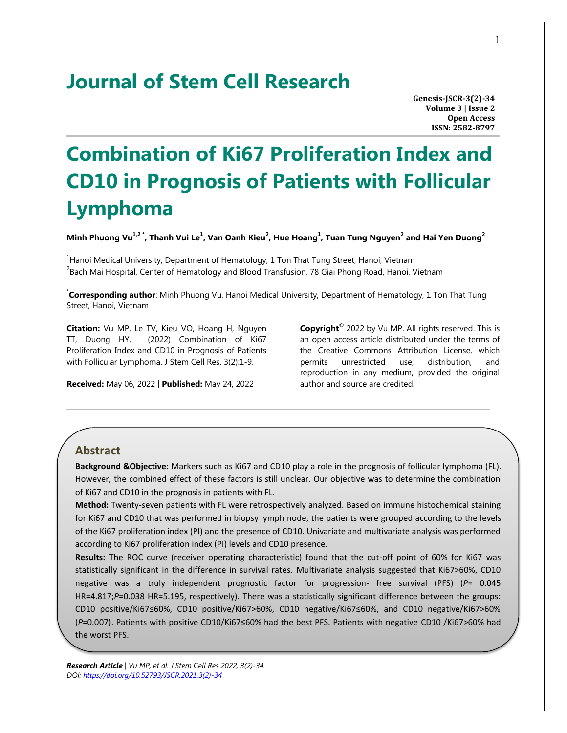# **Journal of Stem Cell Research**

**Genesis-JSCR-3(2)-34 Volume 3 | Issue 2 Open Access ISSN: 2582-8797**

# **Combination of Ki67 Proliferation Index and CD10 in Prognosis of Patients with Follicular Lymphoma**

**Minh Phuong Vu1,2 \*, Thanh Vui Le<sup>1</sup> , Van Oanh Kieu<sup>2</sup> , Hue Hoang<sup>1</sup> , Tuan Tung Nguyen<sup>2</sup> and Hai Yen Duong<sup>2</sup>**

<sup>1</sup>Hanoi Medical University, Department of Hematology, 1 Ton That Tung Street, Hanoi, Vietnam  $^{2}$ Bach Mai Hospital, Center of Hematology and Blood Transfusion, 78 Giai Phong Road, Hanoi, Vietnam

\* **Corresponding author**: Minh Phuong Vu, Hanoi Medical University, Department of Hematology, 1 Ton That Tung Street, Hanoi, Vietnam

**Citation:** Vu MP, Le TV, Kieu VO, Hoang H, Nguyen TT, Duong HY. (2022) Combination of Ki67 Proliferation Index and CD10 in Prognosis of Patients with Follicular Lymphoma. J Stem Cell Res. 3(2):1-9.

**Received:** May 06, 2022 | **Published:** May 24, 2022

**Copyright**© 2022 by Vu MP. All rights reserved. This is an open access article distributed under the terms of the Creative Commons Attribution License, which permits unrestricted use, distribution, and reproduction in any medium, provided the original author and source are credited.

#### **Abstract**

**Background &Objective:** Markers such as Ki67 and CD10 play a role in the prognosis of follicular lymphoma (FL). However, the combined effect of these factors is still unclear. Our objective was to determine the combination of Ki67 and CD10 in the prognosis in patients with FL.

**Method:** Twenty-seven patients with FL were retrospectively analyzed. Based on immune histochemical staining for Ki67 and CD10 that was performed in biopsy lymph node, the patients were grouped according to the levels of the Ki67 proliferation index (PI) and the presence of CD10. Univariate and multivariate analysis was performed according to Ki67 proliferation index (PI) levels and CD10 presence.

**Results:** The ROC curve (receiver operating characteristic) found that the cut-off point of 60% for Ki67 was statistically significant in the difference in survival rates. Multivariate analysis suggested that Ki67>60%, CD10 negative was a truly independent prognostic factor for progression- free survival (PFS) (*P*= 0.045 HR=4.817;*P*=0.038 HR=5.195, respectively). There was a statistically significant difference between the groups: CD10 positive/Ki67≤60%, CD10 positive/Ki67>60%, CD10 negative/Ki67≤60%, and CD10 negative/Ki67>60% (*P*=0.007). Patients with positive CD10/Ki67≤60% had the best PFS. Patients with negative CD10 /Ki67>60% had the worst PFS.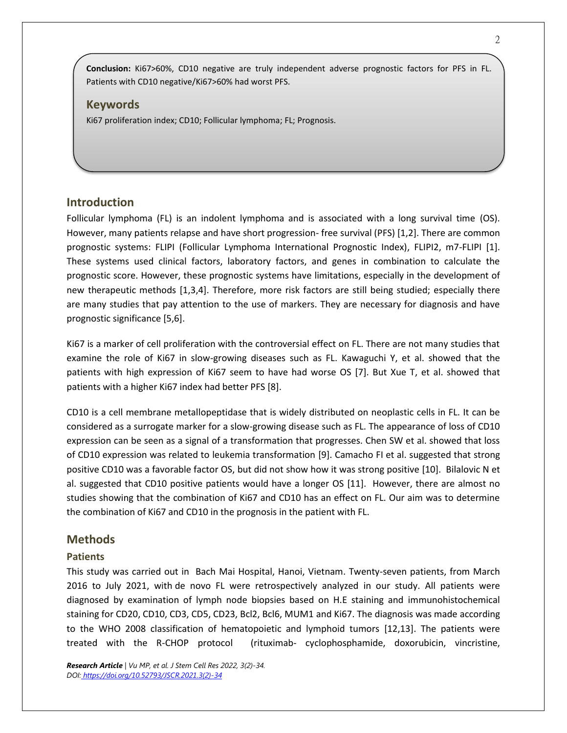**Conclusion:** Ki67>60%, CD10 negative are truly independent adverse prognostic factors for PFS in FL. Patients with CD10 negative/Ki67>60% had worst PFS.

### **Keywords**

Ki67 proliferation index; CD10; Follicular lymphoma; FL; Prognosis.

### **Introduction**

Follicular lymphoma (FL) is an indolent lymphoma and is associated with a long survival time (OS). However, many patients relapse and have short progression- free survival (PFS) [1,2]. There are common prognostic systems: FLIPI (Follicular Lymphoma International Prognostic Index), FLIPI2, m7-FLIPI [1]. These systems used clinical factors, laboratory factors, and genes in combination to calculate the prognostic score. However, these prognostic systems have limitations, especially in the development of new therapeutic methods [1,3,4]. Therefore, more risk factors are still being studied; especially there are many studies that pay attention to the use of markers. They are necessary for diagnosis and have prognostic significance [5,6].

Ki67 is a marker of cell proliferation with the controversial effect on FL. There are not many studies that examine the role of Ki67 in slow-growing diseases such as FL. Kawaguchi Y, et al. showed that the patients with high expression of Ki67 seem to have had worse OS [7]. But Xue T, et al. showed that patients with a higher Ki67 index had better PFS [8].

CD10 is a cell membrane metallopeptidase that is widely distributed on neoplastic cells in FL. It can be considered as a surrogate marker for a slow-growing disease such as FL. The appearance of loss of CD10 expression can be seen as a signal of a transformation that progresses. Chen SW et al. showed that loss of CD10 expression was related to leukemia transformation [9]. Camacho FI et al. suggested that strong positive CD10 was a favorable factor OS, but did not show how it was strong positive [10]. Bilalovic N et al. suggested that CD10 positive patients would have a longer OS [11]. However, there are almost no studies showing that the combination of Ki67 and CD10 has an effect on FL. Our aim was to determine the combination of Ki67 and CD10 in the prognosis in the patient with FL.

## **Methods**

#### **Patients**

This study was carried out in Bach Mai Hospital, Hanoi, Vietnam. Twenty-seven patients, from March 2016 to July 2021, with de novo FL were retrospectively analyzed in our study. All patients were diagnosed by examination of lymph node biopsies based on H.E staining and immunohistochemical staining for CD20, CD10, CD3, CD5, CD23, Bcl2, Bcl6, MUM1 and Ki67. The diagnosis was made according to the WHO 2008 classification of hematopoietic and lymphoid tumors [12,13]. The patients were treated with the R-CHOP protocol (rituximab- cyclophosphamide, doxorubicin, vincristine,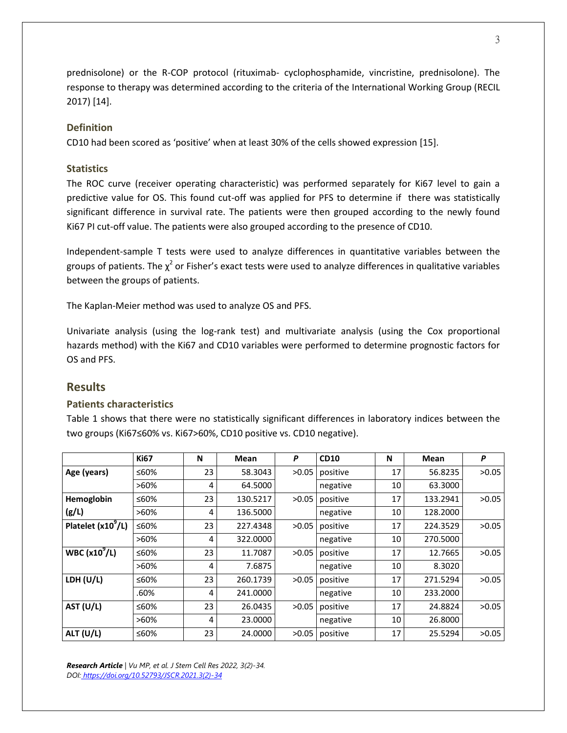prednisolone) or the R-COP protocol (rituximab- cyclophosphamide, vincristine, prednisolone). The response to therapy was determined according to the criteria of the International Working Group (RECIL 2017) [14].

### **Definition**

CD10 had been scored as 'positive' when at least 30% of the cells showed expression [15].

### **Statistics**

The ROC curve (receiver operating characteristic) was performed separately for Ki67 level to gain a predictive value for OS. This found cut-off was applied for PFS to determine if there was statistically significant difference in survival rate. The patients were then grouped according to the newly found Ki67 PI cut-off value. The patients were also grouped according to the presence of CD10.

Independent-sample T tests were used to analyze differences in quantitative variables between the groups of patients. The  $\chi^2$  or Fisher's exact tests were used to analyze differences in qualitative variables between the groups of patients.

The Kaplan-Meier method was used to analyze OS and PFS.

Univariate analysis (using the log-rank test) and multivariate analysis (using the Cox proportional hazards method) with the Ki67 and CD10 variables were performed to determine prognostic factors for OS and PFS.

# **Results**

# **Patients characteristics**

Table 1 shows that there were no statistically significant differences in laboratory indices between the two groups (Ki67≤60% vs. Ki67>60%, CD10 positive vs. CD10 negative).

|                      | <b>Ki67</b> | N  | Mean     | P     | <b>CD10</b> | N  | Mean     | P     |
|----------------------|-------------|----|----------|-------|-------------|----|----------|-------|
| Age (years)          | ≤60%        | 23 | 58.3043  | >0.05 | positive    | 17 | 56.8235  | >0.05 |
|                      | $>60\%$     | 4  | 64.5000  |       | negative    | 10 | 63.3000  |       |
| Hemoglobin           | ≤60%        | 23 | 130.5217 | >0.05 | positive    | 17 | 133.2941 | >0.05 |
| (g/L)                | $>60\%$     | 4  | 136.5000 |       | negative    | 10 | 128.2000 |       |
| Platelet $(x10^9/L)$ | ≤60%        | 23 | 227.4348 | >0.05 | positive    | 17 | 224.3529 | >0.05 |
|                      | $>60\%$     | 4  | 322.0000 |       | negative    | 10 | 270.5000 |       |
| WBC $(x10^9/L)$      | ≤60%        | 23 | 11.7087  | >0.05 | positive    | 17 | 12.7665  | >0.05 |
|                      | $>60\%$     | 4  | 7.6875   |       | negative    | 10 | 8.3020   |       |
| LDH $(U/L)$          | ≤60%        | 23 | 260.1739 | >0.05 | positive    | 17 | 271.5294 | >0.05 |
|                      | .60%        | 4  | 241.0000 |       | negative    | 10 | 233.2000 |       |
| AST (U/L)            | ≤60%        | 23 | 26.0435  | >0.05 | positive    | 17 | 24.8824  | >0.05 |
|                      | $>60\%$     | 4  | 23,0000  |       | negative    | 10 | 26.8000  |       |
| ALT (U/L)            | ≤60%        | 23 | 24.0000  | >0.05 | positive    | 17 | 25.5294  | >0.05 |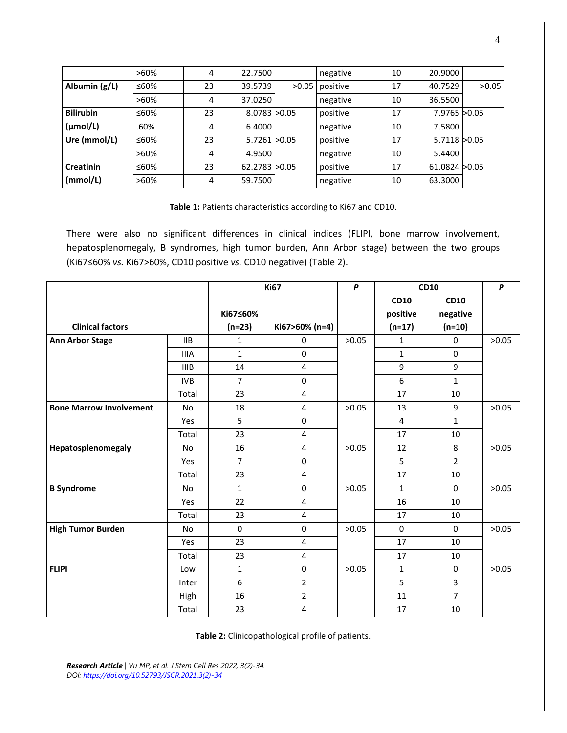|                      | $>60\%$ | 4  | 22.7500          |       | negative | 10 | 20.9000        |       |
|----------------------|---------|----|------------------|-------|----------|----|----------------|-------|
| Albumin (g/L)        | ≤60%    | 23 | 39.5739          | >0.05 | positive | 17 | 40.7529        | >0.05 |
|                      | $>60\%$ | 4  | 37.0250          |       | negative | 10 | 36.5500        |       |
| <b>Bilirubin</b>     | ≤60%    | 23 | 8.0783 > 0.05    |       | positive | 17 | 7.9765 > 0.05  |       |
| $(\mu \text{mol/L})$ | .60%    | 4  | 6.4000           |       | negative | 10 | 7.5800         |       |
| Ure (mmol/L)         | ≤60%    | 23 | $5.7261$ $>0.05$ |       | positive | 17 | 5.7118 > 0.05  |       |
|                      | $>60\%$ | 4  | 4.9500           |       | negative | 10 | 5.4400         |       |
| <b>Creatinin</b>     | ≤60%    | 23 | 62.2783 > 0.05   |       | positive | 17 | 61.0824 > 0.05 |       |
| (mmol/L)             | $>60\%$ | 4  | 59.7500          |       | negative | 10 | 63.3000        |       |

**Table 1:** Patients characteristics according to Ki67 and CD10.

There were also no significant differences in clinical indices (FLIPI, bone marrow involvement, hepatosplenomegaly, B syndromes, high tumor burden, Ann Arbor stage) between the two groups (Ki67≤60% *vs.* Ki67>60%, CD10 positive *vs.* CD10 negative) (Table 2).

|                                |             | <b>Ki67</b>    |                         | $\boldsymbol{P}$ | <b>CD10</b>  |                | P     |
|--------------------------------|-------------|----------------|-------------------------|------------------|--------------|----------------|-------|
|                                |             |                |                         |                  | <b>CD10</b>  | <b>CD10</b>    |       |
|                                |             | Ki67≤60%       |                         |                  | positive     | negative       |       |
| <b>Clinical factors</b>        |             | $(n=23)$       | Ki67>60% (n=4)          |                  | $(n=17)$     | $(n=10)$       |       |
| <b>Ann Arbor Stage</b>         | <b>IIB</b>  | 1              | 0                       | >0.05            | $\mathbf{1}$ | 0              | >0.05 |
|                                | <b>IIIA</b> | $\mathbf{1}$   | $\Omega$                |                  | $\mathbf{1}$ | $\mathbf 0$    |       |
|                                | <b>IIIB</b> | 14             | 4                       |                  | 9            | 9              |       |
|                                | <b>IVB</b>  | $\overline{7}$ | $\mathbf 0$             |                  | 6            | $\mathbf{1}$   |       |
|                                | Total       | 23             | 4                       |                  | 17           | 10             |       |
| <b>Bone Marrow Involvement</b> | <b>No</b>   | 18             | 4                       | >0.05            | 13           | 9              | >0.05 |
|                                | Yes         | 5              | $\pmb{0}$               |                  | 4            | $\mathbf{1}$   |       |
|                                | Total       | 23             | 4                       |                  | 17           | 10             |       |
| Hepatosplenomegaly             | <b>No</b>   | 16             | 4                       | >0.05            | 12           | 8              | >0.05 |
|                                | Yes         | $\overline{7}$ | $\pmb{0}$               |                  | 5            | $\overline{2}$ |       |
|                                | Total       | 23             | 4                       |                  | 17           | 10             |       |
| <b>B</b> Syndrome              | <b>No</b>   | 1              | $\mathbf 0$             | >0.05            | $\mathbf{1}$ | $\mathbf 0$    | >0.05 |
|                                | Yes         | 22             | 4                       |                  | 16           | 10             |       |
|                                | Total       | 23             | $\overline{\mathbf{4}}$ |                  | 17           | 10             |       |
| <b>High Tumor Burden</b>       | <b>No</b>   | $\mathbf 0$    | $\mathbf 0$             | >0.05            | $\mathbf 0$  | $\mathbf 0$    | >0.05 |
|                                | Yes         | 23             | 4                       |                  | 17           | 10             |       |
|                                | Total       | 23             | $\overline{\mathbf{4}}$ |                  | 17           | 10             |       |
| <b>FLIPI</b>                   | Low         | $\mathbf{1}$   | $\mathbf 0$             | >0.05            | $\mathbf{1}$ | $\mathbf 0$    | >0.05 |
|                                | Inter       | 6              | $\overline{2}$          |                  | 5            | 3              |       |
|                                | High        | 16             | $\overline{2}$          |                  | 11           | $\overline{7}$ |       |
|                                | Total       | 23             | 4                       |                  | 17           | 10             |       |

**Table 2:** Clinicopathological profile of patients.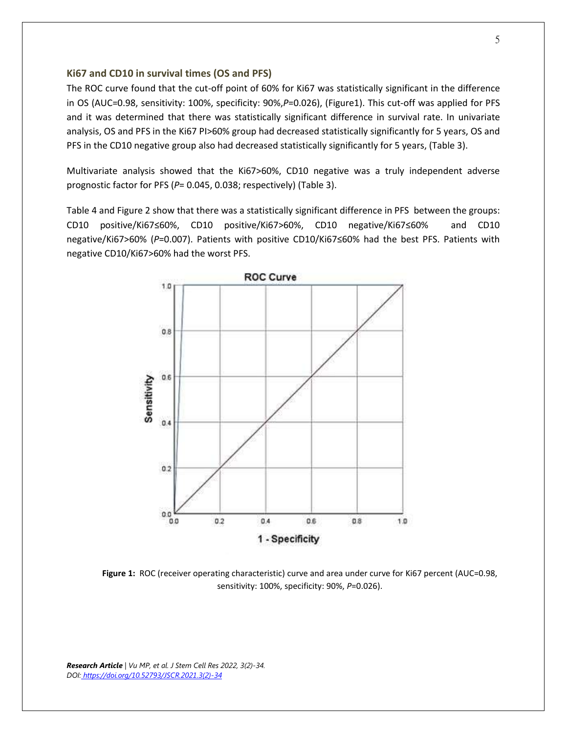#### **Ki67 and CD10 in survival times (OS and PFS)**

The ROC curve found that the cut-off point of 60% for Ki67 was statistically significant in the difference in OS (AUC=0.98, sensitivity: 100%, specificity: 90%,*P*=0.026), (Figure1). This cut-off was applied for PFS and it was determined that there was statistically significant difference in survival rate. In univariate analysis, OS and PFS in the Ki67 PI>60% group had decreased statistically significantly for 5 years, OS and PFS in the CD10 negative group also had decreased statistically significantly for 5 years, (Table 3).

Multivariate analysis showed that the Ki67>60%, CD10 negative was a truly independent adverse prognostic factor for PFS (*P*= 0.045, 0.038; respectively) (Table 3).

Table 4 and Figure 2 show that there was a statistically significant difference in PFS between the groups: CD10 positive/Ki67≤60%, CD10 positive/Ki67>60%, CD10 negative/Ki67≤60% and CD10 negative/Ki67>60% (*P*=0.007). Patients with positive CD10/Ki67≤60% had the best PFS. Patients with negative CD10/Ki67>60% had the worst PFS.



**Figure 1:** ROC (receiver operating characteristic) curve and area under curve for Ki67 percent (AUC=0.98, sensitivity: 100%, specificity: 90%, *P*=0.026).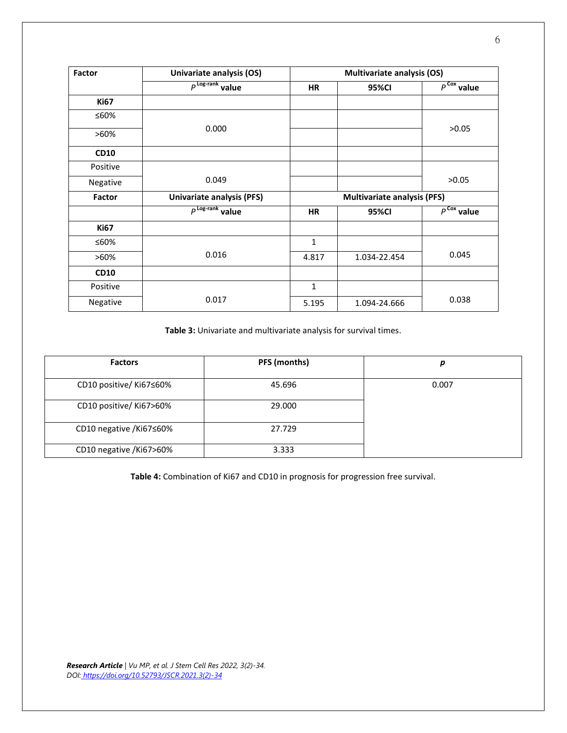| Factor      | Univariate analysis (OS)         | <b>Multivariate analysis (OS)</b>  |              |                        |  |
|-------------|----------------------------------|------------------------------------|--------------|------------------------|--|
|             | $P^{\text{Log-rank}}$ value      | HR                                 | 95%CI        | $P^{\text{Cox}}$ value |  |
| <b>Ki67</b> |                                  |                                    |              |                        |  |
| ≤60%        |                                  |                                    |              |                        |  |
| >60%        | 0.000                            |                                    |              | >0.05                  |  |
| <b>CD10</b> |                                  |                                    |              |                        |  |
| Positive    |                                  |                                    |              |                        |  |
| Negative    | 0.049                            |                                    |              | >0.05                  |  |
| Factor      | <b>Univariate analysis (PFS)</b> | <b>Multivariate analysis (PFS)</b> |              |                        |  |
|             | $P^{\text{Log-rank}}$ value      | HR                                 | <b>95%CI</b> | $P^{\text{Cox}}$ value |  |
| <b>Ki67</b> |                                  |                                    |              |                        |  |
| ≤60%        |                                  | 1                                  |              |                        |  |
| $>60\%$     | 0.016                            | 4.817                              | 1.034-22.454 | 0.045                  |  |
| <b>CD10</b> |                                  |                                    |              |                        |  |
| Positive    |                                  | $\mathbf{1}$                       |              |                        |  |
| Negative    | 0.017                            | 5.195                              | 1.094-24.666 | 0.038                  |  |

**Table 3:** Univariate and multivariate analysis for survival times.

| <b>Factors</b>          | PFS (months) |       |
|-------------------------|--------------|-------|
| CD10 positive/ Ki67≤60% | 45.696       | 0.007 |
| CD10 positive/ Ki67>60% | 29.000       |       |
| CD10 negative /Ki67≤60% | 27.729       |       |
| CD10 negative /Ki67>60% | 3.333        |       |

**Table 4:** Combination of Ki67 and CD10 in prognosis for progression free survival.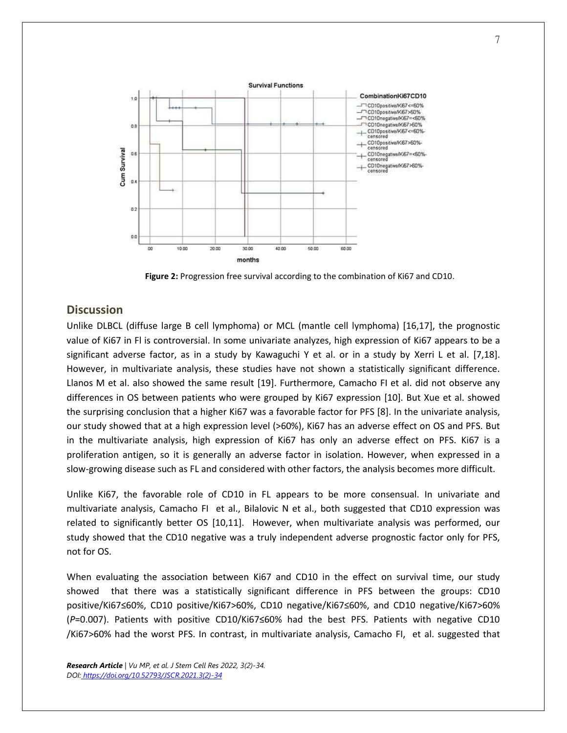

**Figure 2:** Progression free survival according to the combination of Ki67 and CD10.

#### **Discussion**

Unlike DLBCL (diffuse large B cell lymphoma) or MCL (mantle cell lymphoma) [16,17], the prognostic value of Ki67 in Fl is controversial. In some univariate analyzes, high expression of Ki67 appears to be a significant adverse factor, as in a study by Kawaguchi Y et al. or in a study by Xerri L et al. [7,18]. However, in multivariate analysis, these studies have not shown a statistically significant difference. Llanos M et al. also showed the same result [19]. Furthermore, Camacho FI et al. did not observe any differences in OS between patients who were grouped by Ki67 expression [10]. But Xue et al. showed the surprising conclusion that a higher Ki67 was a favorable factor for PFS [8]. In the univariate analysis, our study showed that at a high expression level (>60%), Ki67 has an adverse effect on OS and PFS. But in the multivariate analysis, high expression of Ki67 has only an adverse effect on PFS. Ki67 is a proliferation antigen, so it is generally an adverse factor in isolation. However, when expressed in a slow-growing disease such as FL and considered with other factors, the analysis becomes more difficult.

Unlike Ki67, the favorable role of CD10 in FL appears to be more consensual. In univariate and multivariate analysis, Camacho FI et al., Bilalovic N et al., both suggested that CD10 expression was related to significantly better OS [10,11]. However, when multivariate analysis was performed, our study showed that the CD10 negative was a truly independent adverse prognostic factor only for PFS, not for OS.

When evaluating the association between Ki67 and CD10 in the effect on survival time, our study showed that there was a statistically significant difference in PFS between the groups: CD10 positive/Ki67≤60%, CD10 positive/Ki67>60%, CD10 negative/Ki67≤60%, and CD10 negative/Ki67>60% (*P*=0.007). Patients with positive CD10/Ki67≤60% had the best PFS. Patients with negative CD10 /Ki67>60% had the worst PFS. In contrast, in multivariate analysis, Camacho FI, et al. suggested that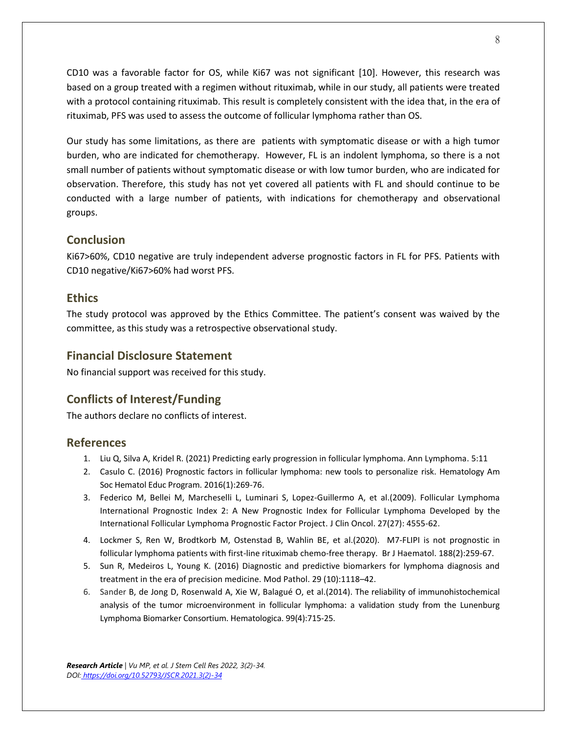CD10 was a favorable factor for OS, while Ki67 was not significant [10]. However, this research was based on a group treated with a regimen without rituximab, while in our study, all patients were treated with a protocol containing rituximab. This result is completely consistent with the idea that, in the era of rituximab, PFS was used to assess the outcome of follicular lymphoma rather than OS.

Our study has some limitations, as there are patients with symptomatic disease or with a high tumor burden, who are indicated for chemotherapy. However, FL is an indolent lymphoma, so there is a not small number of patients without symptomatic disease or with low tumor burden, who are indicated for observation. Therefore, this study has not yet covered all patients with FL and should continue to be conducted with a large number of patients, with indications for chemotherapy and observational groups.

# **Conclusion**

Ki67>60%, CD10 negative are truly independent adverse prognostic factors in FL for PFS. Patients with CD10 negative/Ki67>60% had worst PFS.

# **Ethics**

The study protocol was approved by the Ethics Committee. The patient's consent was waived by the committee, as this study was a retrospective observational study.

# **Financial Disclosure Statement**

No financial support was received for this study.

# **Conflicts of Interest/Funding**

The authors declare no conflicts of interest.

# **References**

- 1. Liu Q, Silva A, Kridel R. (2021) Predicting early progression in follicular lymphoma. Ann Lymphoma. 5:11
- 2. Casulo C. (2016) Prognostic factors in follicular lymphoma: new tools to personalize risk. Hematology Am Soc Hematol Educ Program. 2016(1):269-76.
- 3. Federico M, Bellei M, Marcheselli L, Luminari S, Lopez-Guillermo A, et al.(2009). Follicular Lymphoma International Prognostic Index 2: A New Prognostic Index for Follicular Lymphoma Developed by the International Follicular Lymphoma Prognostic Factor Project. J Clin Oncol. 27(27): 4555-62.
- 4. Lockmer S, Ren W, Brodtkorb M, Ostenstad B, Wahlin BE, et al.(2020). M7-FLIPI is not prognostic in follicular lymphoma patients with first-line rituximab chemo-free therapy. Br J Haematol. 188(2):259-67.
- 5. Sun R, Medeiros L, Young K. (2016) Diagnostic and predictive biomarkers for lymphoma diagnosis and treatment in the era of precision medicine. Mod Pathol. 29 (10):1118–42.
- 6. Sander B, de Jong D, Rosenwald A, Xie W, Balagué O, et al.(2014). The reliability of immunohistochemical analysis of the tumor microenvironment in follicular lymphoma: a validation study from the Lunenburg Lymphoma Biomarker Consortium. Hematologica. 99(4):715-25.